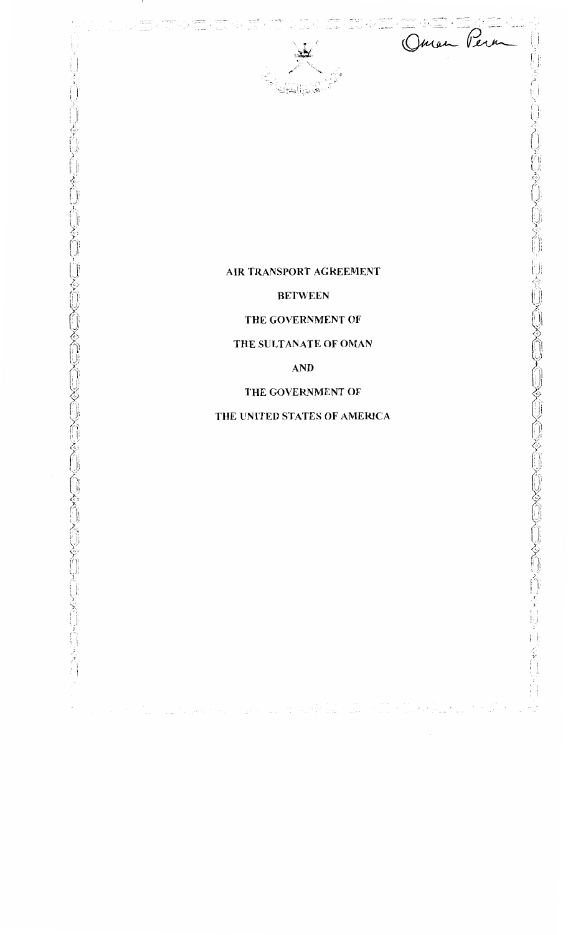Oman Perr

オウドレラート



Caracteri<br>Coracteri<br>Coracteri

高いをはるのと思うには、そのことには、これは、これは、これは、これは、これは、これは、

 $\overline{\phantom{a}}$ 

 $\begin{aligned} \frac{\partial \mathcal{L}(\mathcal{L},\mathcal{L})}{\partial \mathcal{L}(\mathcal{L},\mathcal{L})} = & \frac{\partial \mathcal{L}(\mathcal{L},\mathcal{L})}{\partial \mathcal{L}(\mathcal{L},\mathcal{L})} \end{aligned}$ 

Si Se

# AIR TRANSPORT AGREEMENT

# **BETWEEN**

# THE GOVERNMENT OF

# THE SULTANATE OF OMAN

# **AND**

# THE GOVERNMENT OF

# THE UNITED STATES OF AMERICA

Salah Pa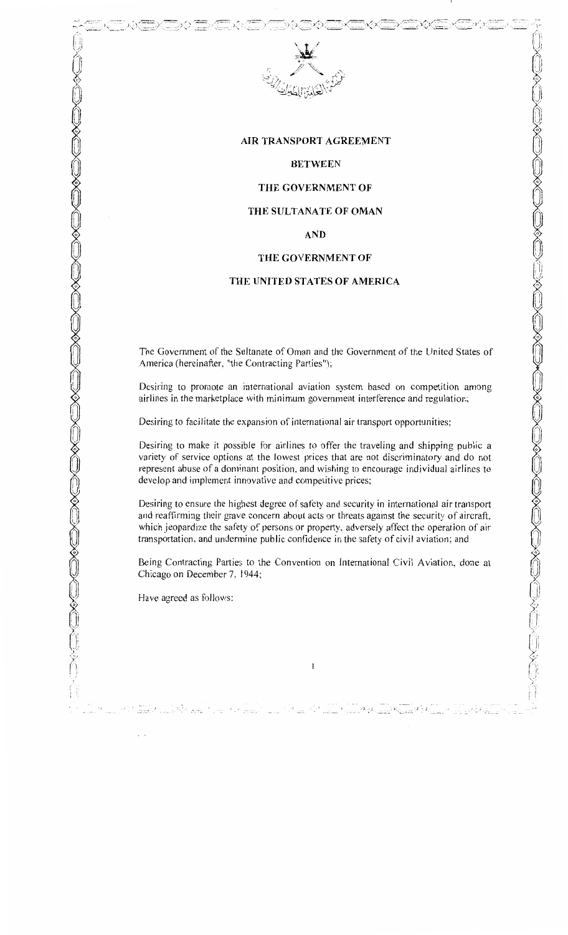

#### AIR TRANSPORT AGREEMENT

### **BETWEEN**

#### THE GOVERNMENT OF

## THE SULTANATE OF OMAN

**AND** 

#### THE GOVERNMENT OF

#### THE UNITED STATES OF AMERICA

The Government of the Sultanate of Oman and the Government of the United States of America (hereinafter, "the Contracting Parties");

Desiring to promote an international aviation system based on competition among airlines in the marketplace with minimum government interference and regulation;

Desiring to facilitate the expansion of international air transport opportunities;

Desiring to make it possible for airlines to offer the traveling and shipping public a variety of service options at the lowest prices that are not discriminatory and do not represent abuse of a dominant position, and wishing to encourage individual airlines to develop and implement innovative and competitive prices;

Desiring to ensure the highest degree of safety and security in international air transport and reaffirming their grave concern about acts or threats against the security of aircraft, which jeopardize the safety of persons or property, adversely affect the operation of air transportation, and undermine public confidence in the safety of civil aviation; and

Being Contracting Parties to the Convention on International Civil Aviation, done at Chicago on December 7, 1944;

 $\overline{1}$ 

Have agreed as follows:

**DACKOOL**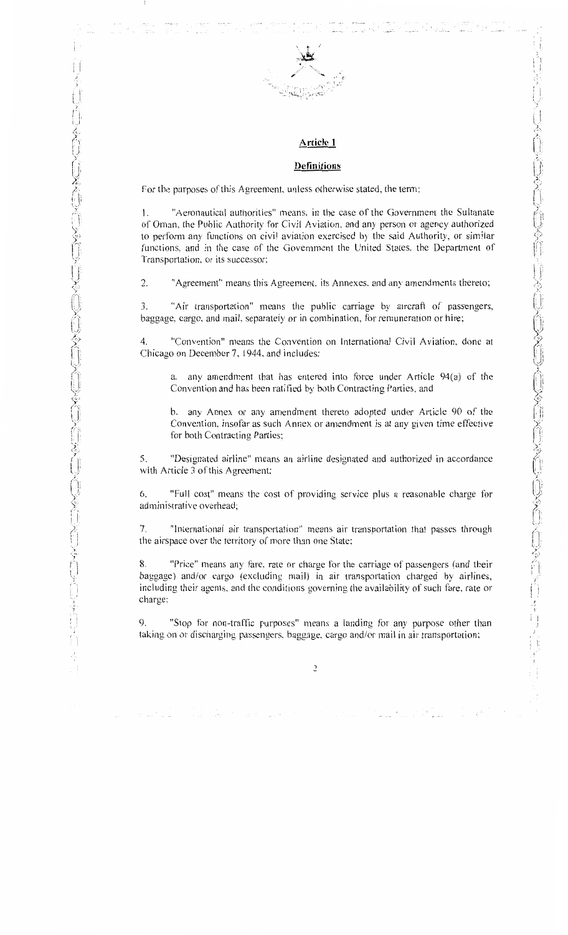

#### **Definitions**

For the purposes of this Agreement, unless otherwise stated, the term:

i<br>Vivi<br>I

**REVENUES** 

USACE SAME DAVIS EN SAME

 $\hat{\mathfrak{F}}$ 

I. "Aeronautical authorities" means, in the case of the Government the Sultanate of Oman, the Public Authority for Civil Aviation. and any person or agency authorized to perform any functions on civil aviation exercised by the said Authority, or similar functions, and in the case of the Government the United States. the Department of Transportation. or its successor;

2. "Agreement" means this Agreement. its Annexes. and any amendments thereto;

3. "Air transportation" means the public carriage by aircraft of passengers, baggage, cargo, and mail, separately or in combination, for remuneration or hire;

4. "Convention" means the Convention on International Civil Aviation, done at Chicago on December 7, 1944, and includes:

a. any amendment that has entered into force under Article 94(a) of the Convention and has been ratified by both Contracting Parties. and

b. any Annex or any amendment thereto adopted under Article 90 of the Convention. insofar as such Annex or amendment is at any given time effective for both Contracting Parties;

5. "Designated airline" means an airline designated and authorized in accordance with Article 3 of this Agreement;

6. "Full cost" means the cost of providing service plus a reasonable charge for administrative overhead;

7. "International air transportation" means air transportation that passes through the airspace over the territory of more than one State:

8. "Price" means any fare, rate or charge for the carriage of passengers (and their baggage) and/or cargo (excluding mail) in air transportation charged by airlines, including their agents. and the conditions governing the availability of such fare. rate or charge:

9. "Stop for non-traffic purposes" means a landing for any purpose other than taking on or discharging passengers. baggage. cargo and/or mail in air transportation;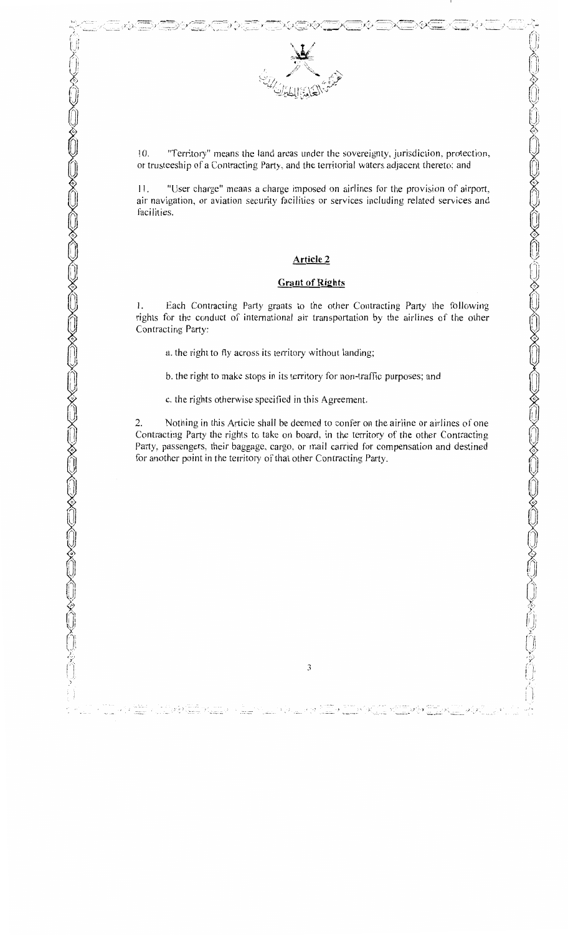

 $10.$ "Territory" means the land areas under the sovereignty, jurisdiction, protection, or trusteeship of a Contracting Party, and the territorial waters adjacent thereto; and

"User charge" means a charge imposed on airlines for the provision of airport,  $11.$ air navigation, or aviation security facilities or services including related services and facilities.

## Article 2

## **Grant of Rights**

Each Contracting Party grants to the other Contracting Party the following 1. rights for the conduct of international air transportation by the airlines of the other Contracting Party:

a. the right to fly across its territory without landing;

b. the right to make stops in its territory for non-traffic purposes; and

c. the rights otherwise specified in this Agreement.

REPORTANT REPORT AND ALL REPORT TO REPORT TO THE REPORT OF THE REPORT OF THE REPORT OF THE REPORT OF THE REPORT OF THE REPORT OF THE REPORT OF THE REPORT OF THE REPORT OF THE REPORT OF THE REPORT OF THE REPORT OF THE REPOR

 $\overline{2}$ . Nothing in this Article shall be deemed to confer on the airline or airlines of one Contracting Party the rights to take on board, in the territory of the other Contracting Party, passengers, their baggage, cargo, or mail carried for compensation and destined for another point in the territory of that other Contracting Party.

 $\mathfrak{Z}$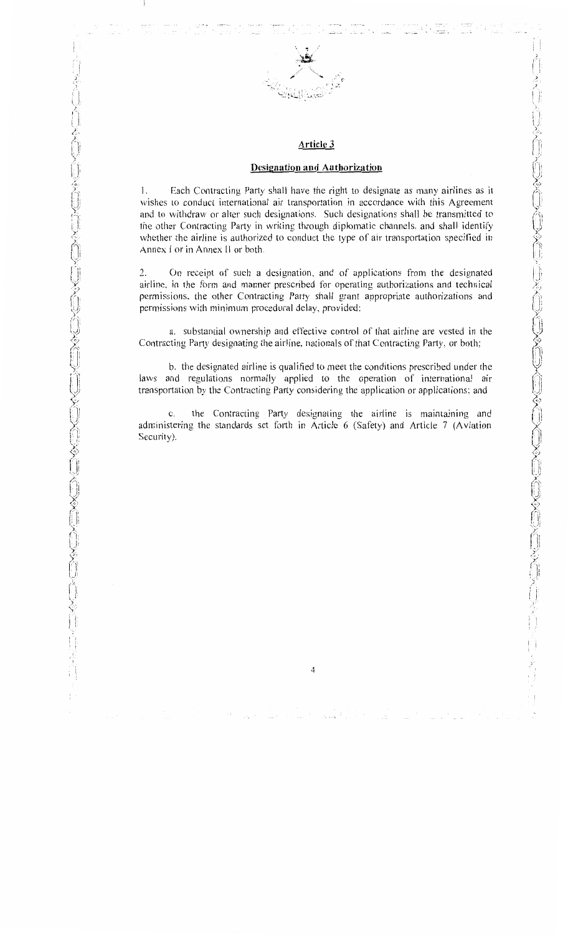

## **Designation and Authorization**

I. Each Contracting Party shall have the right to designate as many airlines as it wishes to conduct international air transportation in accordance with this Agreement and to withdraw or alter such designations. Such designations shall be transmitted to the other Contracting Party in writing through diplomatic channels. and shall identify whether the airline is authorized to conduct the type of air transportation specified in Annex I or in Annex II or both.

y ','·

 $\mathbf{I}$  :

2. On receipt of such a designation. and of applications from the designated airline. in the form and manner prescribed for operating authorizations and technical permissions. the other Contracting Party shall grant appropriate authorizations and permissions with minimum procedural delay. provided:

a. substantial ownership and effective control of that airline are vested in the Contracting Party designating the airline, nationals of that Contracting Party, or both;

b. the designated airline is qualified to meet the conditions prescribed under the laws and regulations normally applied to the operation of international air transportation by the Contracting Party considering the application or applications: and

c. the Contracting Party designating the airline is maintaining and administering the standards set forth in Article 6 (Safety) and Article 7 (Aviation Security).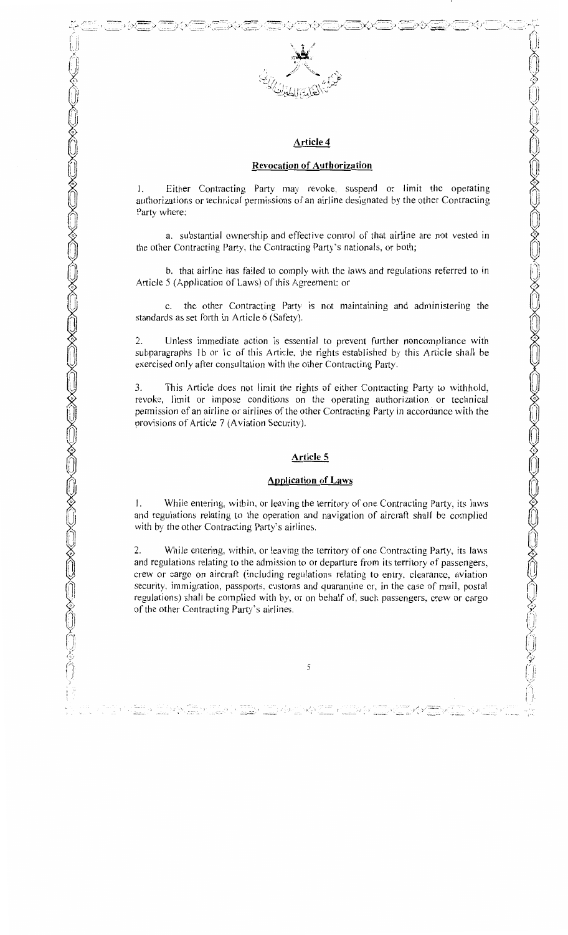

### **Revocation of Authorization**

Either Contracting Party may revoke, suspend or limit the operating  $\mathbf{1}$ . authorizations or technical permissions of an airline designated by the other Contracting Party where:

a. substantial ownership and effective control of that airline are not vested in the other Contracting Party, the Contracting Party's nationals, or both;

b. that airline has failed to comply with the laws and regulations referred to in Article 5 (Application of Laws) of this Agreement; or

c. the other Contracting Party is not maintaining and administering the standards as set forth in Article 6 (Safety).

Unless immediate action is essential to prevent further noncompliance with  $\overline{2}$ . subparagraphs 1b or 1c of this Article, the rights established by this Article shall be exercised only after consultation with the other Contracting Party.

This Article does not limit the rights of either Contracting Party to withhold, 3. revoke, limit or impose conditions on the operating authorization or technical permission of an airline or airlines of the other Contracting Party in accordance with the provisions of Article 7 (Aviation Security).

#### Article 5

#### **Application of Laws**

While entering, within, or leaving the territory of one Contracting Party, its laws  $\mathbf{1}$ . and regulations relating to the operation and navigation of aircraft shall be complied with by the other Contracting Party's airlines.

2. While entering, within, or leaving the territory of one Contracting Party, its laws and regulations relating to the admission to or departure from its territory of passengers, crew or cargo on aircraft (including regulations relating to entry, clearance, aviation security, immigration, passports, customs and quarantine or, in the case of mail, postal regulations) shall be complied with by, or on behalf of, such passengers, crew or cargo of the other Contracting Party's airlines.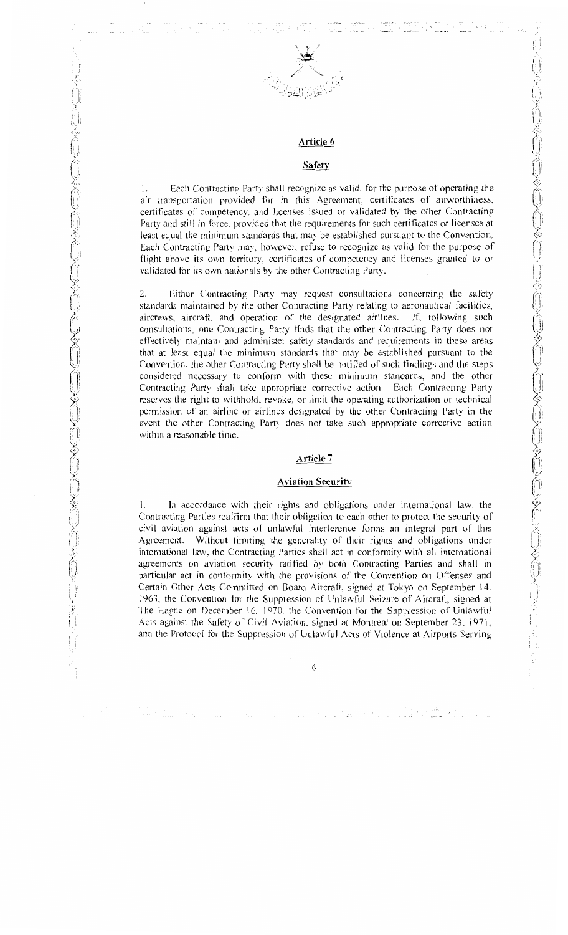### Safety

I. Each Contracting Party shall recognize as valid, for the purpose of operating the air transportation provided for in this Agreement, certificates of airworthiness, certificates of competency. and licenses issued or validated by the other Contracting Party and still in force, provided that the requirements for such certificates or licenses at least equal the minimum standards that may be established pursuant to the Convention. Each Contracting Party may. however, refuse to recognize as valid for the purpose of flight above its own territory, certificates of competency and licenses granted to or validated for its own nationals by the other Contracting Party.

2. Either Contracting Party may request consultations concerning the safety standards maintained by the other Contracting Party relating to aeronautical facilities, aircrews, aircraft. and operation of the designated airlines. If, following such consultations, one Contracting Party finds that the other Contracting Party does not effectively maintain and administer safety standards and requirements in these areas that at least equal the minimum standards that may be established pursuant to the Convention, the other Contracting Party shall be notified of such findings and the steps considered necessary to conform with these minimum standards, and the other Contracting Party shall take appropriate corrective action. Each Contracting Party reserves the right to withhold. revoke. or limit the operating authorization or technical permission of an airline or airlines designated by the other Contracting Party in the event the other Contracting Party does not take such appropriate corrective action within a reasonable time.

' I ' : J

### **Article** 7

#### **Aviation Security**

I. In accordance with their rights and obligations under international law. the Contracting Parties reaffirm that their obligation to each other to protect the security of civil aviation against acts of unlawful interference forms an integral part of this Agreement. Without limiting the generality of their rights and obligations under international law, the Contracting Parties shall act in conformity with all international agreements on aviation security ratified by both Contracting Parties and shall in particular act in conformity with the provisions of the Convention on Offenses and Certain Other Acts Committed on Board Aircraft, signed at Tokyo on September 14. 1963. the Convention for the Suppression of Unlawful Seizure of Aircraft, signed at The Hague on December 16. 1970. the Convention for the Suppression of Unlawful Acts against the Safety of Civil Aviation. signed at Montreal on September 23. 1971. and the Protocol for the Suppression of Unlawful Acts of Violence at Airports Serving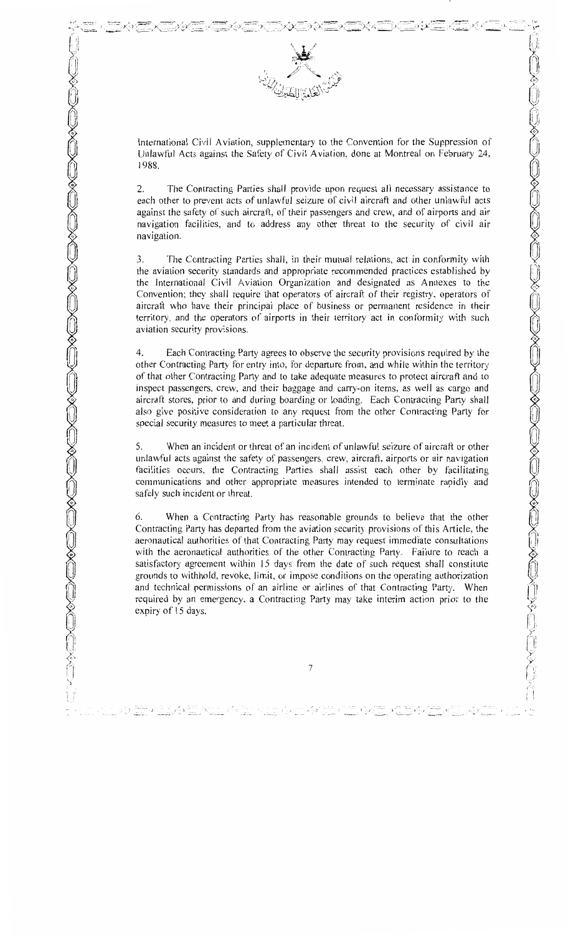

International Civil Aviation, supplementary to the Convention for the Suppression of Unlawful Acts against the Safety of Civil Aviation, done at Montreal on February 24, 1988.

2. The Contracting Parties shall provide upon request all necessary assistance to each other to prevent acts of unlawful seizure of civil aircraft and other unlawful acts against the safety of such aircraft, of their passengers and crew, and of airports and air navigation facilities, and to address any other threat to the security of civil air navigation.

3. The Contracting Parties shall, in their mutual relations, act in conformity with the aviation security standards and appropriate recommended practices established by the International Civil Aviation Organization and designated as Annexes to the Convention; they shall require that operators of aircraft of their registry, operators of aircraft who have their principal place of business or permanent residence in their territory, and the operators of airports in their territory act in conformity with such aviation security provisions.

4. Each Contracting Pmty agrees to observe the security provisions required by the other Contracting Party for entry into, for departure from, and while within the territory of that other Contracting Party and to take adequate measures to protect aircraft and to inspect passengers, crew, and their baggage and carry-on items, as well as cargo and aircraft stores, prior to and during boarding or loading. Each Contracting Party shall also give positive consideration to any request from the other Contracting Party for special security measures to meet a particular threat.

A SA DAOA O A DAOA O A DAOA O A DAOA DA DAOA A

5. When an incident or threat of an incident of unlawful seizure of aircraft or other unlawful acts against the safety of passengers, crew, aircraft, airports or air navigation facilities occurs, the Contracting Parties shall assist each other by facilitating communications and other appropriate measures intended to terminate rapidly and safely such incident or threat.

6. When a Contracting Party has reasonable grounds to believe that the other Contracting Party has departed from the aviation security provisions of this Article, the aeronautical authorities of that Contracting Party may request immediate consultations with the aeronautical authorities of the other Contracting Party. Failure to reach a satisfactory agreement within 15 days from the date of such request shall constitute grounds to withhold, revoke, limit, or impose conditions on the operating authorization and technical permissions of an airline or airlines of that Contracting Party. When required by an emergency, a Contracting Party may take interim action prior to the expiry of 15 days.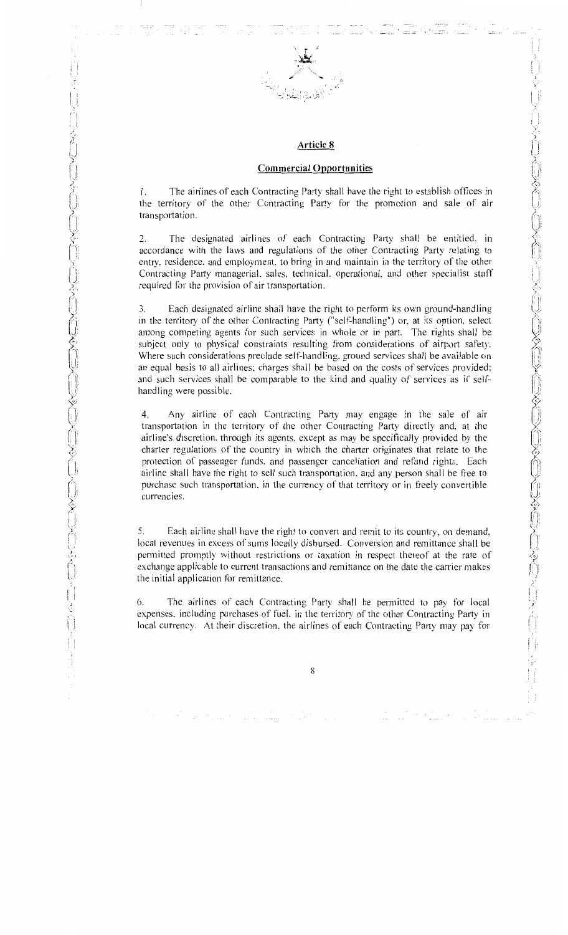

i i i I

I i l ) '\_y'

**KORSKOR** 

 $\mathsf{I}$  i '

#### **Commercial Opportunities**

1. The airlines of each Contracting Party shall have the right to establish offices in the territory of the other Contracting Party for the promotion and sale of air transportation.

2. The designated airlines of each Contracting Party shall be entitled, in accordance with the laws and regulations of the other Contracting Party relating to entry, residence. and employment. to bring in and maintain in the territory of the other Contracting Party managerial, sales, technical, operational, and other specialist staff required for the provision of air transportation.

3. Each designated airline shall have the right to perform its own ground-handling in the territory of the other Contracting Party ("self-handling") or, at its option, select among competing agents for such services in whole or in part. The rights shall be subject only to physical constraints resulting from considerations of airport safety. Where such considerations preclude self-handling. ground services shall be available on an equal basis to all airlines; charges shall be based on the costs of services provided; and such services shall be comparable to the kind and quality of services as if selfhandling were possible.

4. Any airline of each Contracting Party may engage in the sale of air transportation in the territory of the other Contracting Party directly and, at the airline's discretion. through its agents. except as may be specifically provided by the charter regulations of the country in which the charter originates that relate to the protection of passenger funds. and passenger cancellation and refund rights. Each airline shall have the right to sell such transportation. and any person shall be free to purchase such transportation, in the currency of that territory or in freely convertible currencies.

5. Each airline shall have the right to convert and remit to its country, on demand, local revenues in excess of sums locally disbursed. Conversion and remittance shall be permitted promptly without restrictions or taxation in respect thereof at the rate of exchange applicable to current transactions and remittance on the date the carrier makes the initial application for remittance .

6. The airlines of each Contracting Party shall be permitted to pay for local expenses, including purchases of fuel, in the territory of the other Contracting Party in local currency. At their discretion. the airlines of each Contracting Party may pay for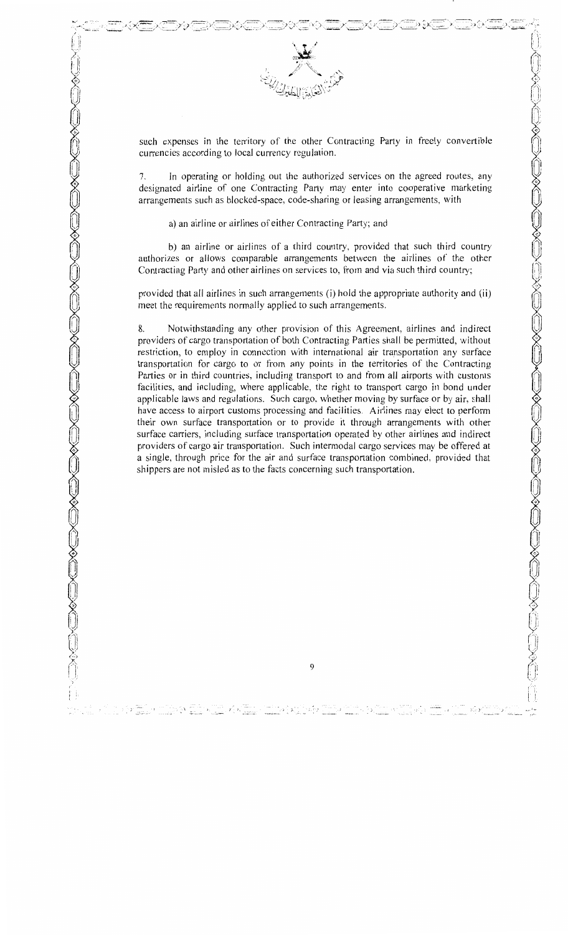

 $\overline{\phantom{a}}$ I  $\epsilon'$  ), :I L~:!

such expenses in the territory of the other Contracting Party in freely convertible currencies according to local currency regulation.

7. In operating or holding out the authorized services on the agreed routes, any designated airline of one Contracting Party may enter into cooperative marketing arrangements such as blocked-space, code-sharing or leasing arrangements, with

a) an airline or airlines of either Contracting Party; and

b) an airline or airlines of a third country, provided that such third country authorizes or allows comparable arrangements between the airlines of the other Contracting Party and other airlines on services to, from and via such third country;

provided that all airlines in such arrangements (i) hold the appropriate authority and (ii) meet the requirements normally applied to such arrangements.

8. Notwithstanding any other provision of this Agreement, airlines and indirect providers of cargo transportation of both Contracting Parties shall be permitted, without restriction, to employ in connection with international air transportation any surface transportation for cargo to or from any points in the territories of the Contracting Parties or in third countries, including transport to and from all airports with customs facilities, and including, where applicable, the right to transport cargo in bond under applicable laws and regulations. Such cargo. whether moving by surface or by air, shall have access to airport customs processing and facilities. Airlines may elect to perform their own surface transportation or to provide it through arrangements with other surface carriers, including surface transportation operated by other airlines and indirect providers of cargo air transportation. Such intennodal cargo services may be offered at a single, through price for the air and surface transportation combined, provided that shippers are not misled as to the facts concerning such transportation.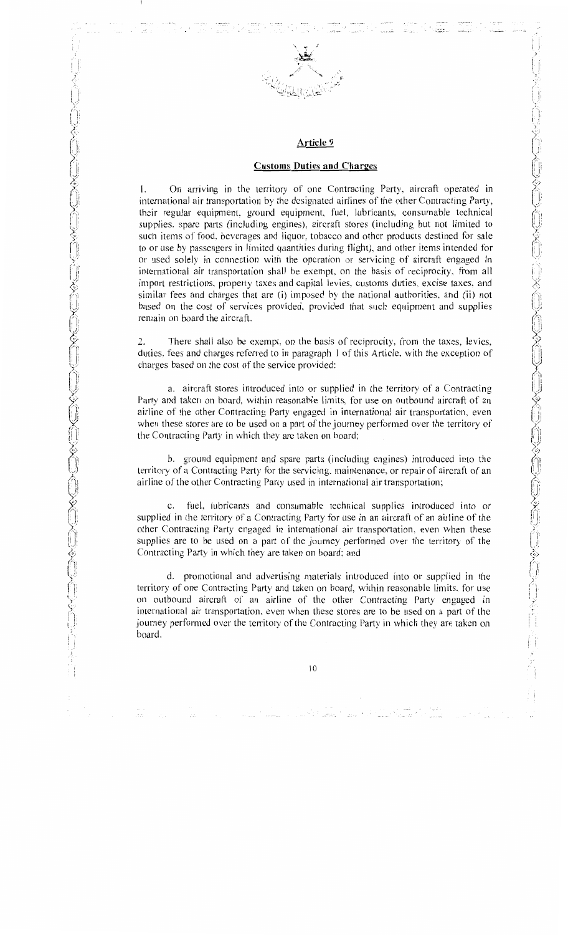

I I

} 1 ; !

こそれじらける合い合いを得ているのという言うと思い合いということという思いと思います

#### **Article 9**

 $\vert \ \vert$ 

l J

i

多自合之心的人的多的人的多能

#### **Customs Duties and Charges**

1. On arriving in the territory of one Contracting Party, aircraft operated in international air transportation by the designated airlines of the other Contracting Party, their regular equipment, ground equipment, fuel, lubricants, consumable technical supplies. spare parts (including engines), aircraft stores (including but not limited to such items of food. beverages and liquor, tobacco and other products destined for sale to or use by passengers in limited quantities during flight), and other items intended for or used solely in connection with the operation or servicing of aircraft engaged in international air transportation shall be exempt. on the basis of reciprocity, from all import restrictions. property taxes and capital levies, customs duties, excise taxes, and similar fees and charges that are (i) imposed by the national authorities, and (ii) not based on the cost of services provided. provided that such equipment and supplies remain on board the aircraft.

2. There shall also be exempt, on the basis of reciprocity, from the taxes, levies, duties, fees and charges referred to in paragraph 1 of this Article. with the exception of charges based on the cost of the service provided:

a. aircraft stores introduced into or supplied in the territory of a Contracting Party and taken on board. within reasonable limits, for use on outbound aircraft of an airline of the other Contracting Party engaged in international air transportation, even when these stores are to be used on a part of the journey performed over the territory of the Contracting Party in which they are taken on board;

b. ground equipment and spare parts (including engines) introduced into the territory of a Contracting Party for the servicing. maintenance, or repair of aircraft of an airline of the other Contracting Party used in international air transportation;

c. fuel. lubricants and consumable technical supplies introduced into or supplied in the territory of a Contracting Party for use in an aircraft of an airline of the other Contracting Party engaged in international air transportation, even when these supplies are to be used on a part of the journey performed over the territory of the Contracting Party in which they are taken on board: and

d. promotional and advertising materials introduced into or supplied in the territory of one Contracting Party and taken on board, within reasonable limits. for use on outbound aircraft of an airline of the other Contracting Party engaged in international air transportation. even when these stores are to be used on a part of the journey performed over the territory of the Contracting Party in which they are taken on board.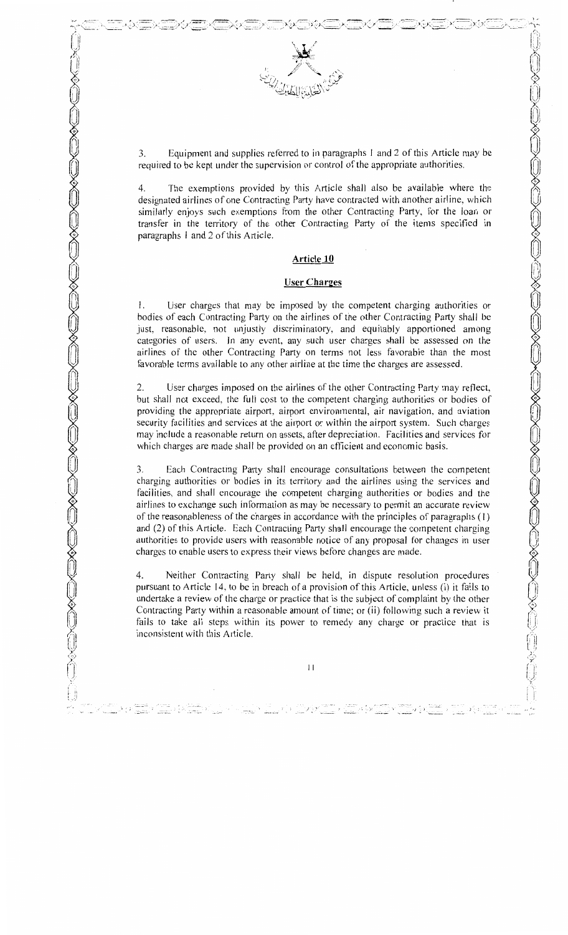

3. Equipment and supplies referred to in paragraphs I and 2 of this Article may be required to be kept under the supervision or control of the appropriate authorities.

4. The exemptions provided by this A1ticle shall also be available where the designated airlines of one Contracting Party have contracted with another airline, which similarly enjoys such exemptions from the other Contracting Party, for the loan or transfer in the territory of the other Contracting Party of the items specified in paragraphs 1 and 2 of this Article.

#### **Article 10**

#### **User Charges**

I. User charges that may be imposed by the competent charging authorities or bodies of each Contracting Party on the airlines of the other Contracting Party shall be just, reasonable, not unjustly discriminatory, and equitably apportioned among categories of users. In any event, any such user charges shall be assessed on the airlines of the other Contracting Party on terms not less favorable than the most favorable terms available to any other airline at the time the charges are assessed.

2. User charges imposed on the airlines of the other Contracting Party may reflect, but shall not exceed, the full cost to the competent charging authorities or bodies of providing the appropriate airport, airport environmental, air navigation, and aviation security facilities and services at the airport or within the airport system. Such charges may include a reasonable return on assets, after depreciation. Facilities and services for which charges are made shall be provided on an efficient and economic basis.

['!j

,, -"'", *y* 

I)' ),

3. Each Contracting Party shall encourage consultations between the competent charging authorities or bodies in its territory and the airlines using the services and facilities, and shall encourage the competent charging authorities or bodies and the airlines to exchange such information as may be necessary to permit an accurate review of the reasonableness of the charges in accordance with the principles of paragraphs ( 1) and (2) of this Article. Each Contracting Party shall encourage the competent charging authorities to provide users with reasonable notice of any proposal for changes in user charges to enable users to express their views before changes are made.

4. Neither Contracting Party shall be held, in dispute resolution procedures pursuant to Article 14, to be in breach of a provision of this Article, unless (i) it fails to undertake a review of the charge or practice that is the subject of complaint by the other Contracting Party within a reasonable amount of time; or (ii) following such a review it fails to take all steps within its power to remedy any charge or practice that is inconsistent with this Article.

 $\wedge$  . In a semi-request of  $\varphi$  . The frame  $\wedge$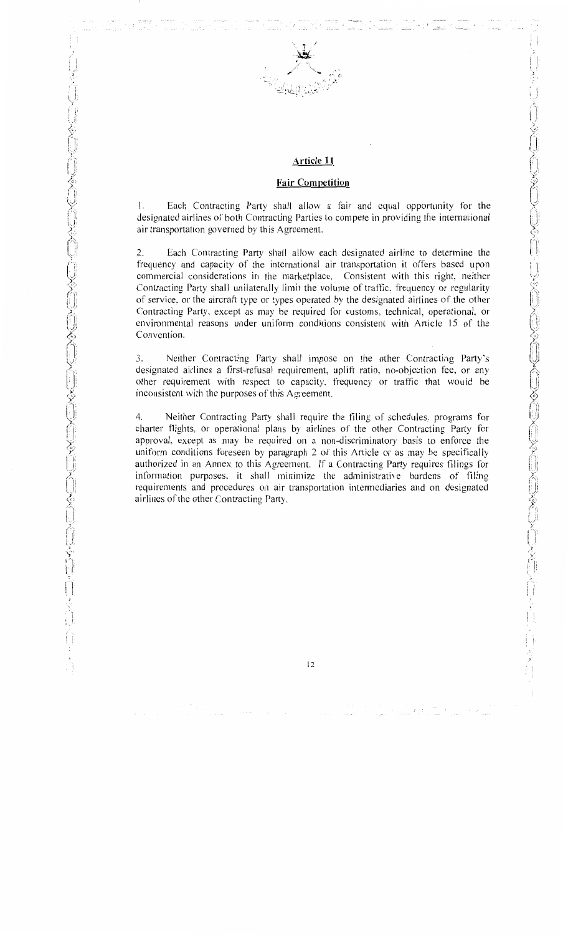

i I  $\zeta$ 

**MARKERSHIPS** 

[ I' i J

## **Article 11**

#### **Fair Competition**

1. Each Contracting Party shall allow a fair and equal opportunity for the designated airlines of both Contracting Parties to compete in providing the international air transportation governed by this Agreement.

2. Each Contracting Party shall allow each designated airline to determine the frequency and capacity of the international air transportation it offers based upon commercial considerations in the marketplace. Consistent with this right, neither Contracting Party shall unilaterally limit the volume of traffic, frequency or regularity of service. or the aircraft type or types operated by the designated airlines of the other Contracting Party. except as may be required for customs, technical, operational, or environmental reasons under uniform conditions consistent with Article 15 of the Convention.

i

3. Neither Contracting Party shall impose on the other Contracting Party's designated airlines a first-refusal requirement, uplift ratio, no-objection fee, or any other requirement with respect to capacity. frequency or traffic that would be inconsistent with the purposes of this Agreement.

4. Neither Contracting Patty shall require the filing of schedules, programs for charter flights, or operational plans by airlines of the other Contracting Party for approvaL except as may be required on a non-discriminatory basis to enforce the uniform conditions foreseen by paragraph 2 of this Article or as may be specifically authorized in an Annex to this Agreement. If a Contracting Party requires filings for information purposes. it shall minimize the administrative burdens of filing requirements and procedures on air transportation intermediaries and on designated airlines of the other Contracting Patty.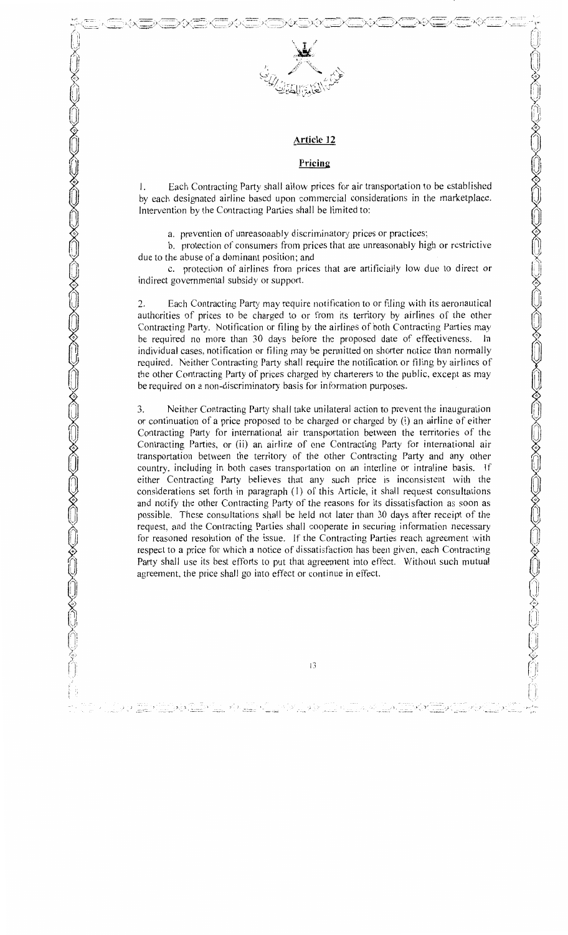

#### **Pricing**

I. Each Contracting Party shall allow prices for air transportation to be established by each designated airline based upon commercial considerations in the marketplace. Intervention by the Contracting Parties shall be limited to:

a. prevention of unreasonably discriminatory prices or practices;

b. protection of consumers from prices that are unreasonably high or restrictive due to the abuse of a dominant position; and

c. protection of airlines from prices that are artificially low due to direct or indirect governmental subsidy or support.

2. Each Contracting Party may require notification to or filing with its aeronautical authorities of prices to be charged to or from its territory by airlines of the other Contracting Party. Notification or filing by the airlines of both Contracting Parties may be required no more than 30 days before the proposed date of effectiveness. In individual cases, notification or filing may be permitted on shorter notice than normally required. Neither Contracting Party shall require the notification or filing by airlines of the other Contracting Party of prices charged by charterers to the public, except as may be required on a non-discriminatory basis for information purposes.

)'

 $\hat{\Pi}$ 

3. Neither Contracting Party shall take unilateral action to prevent the inauguration or continuation of a price proposed to be charged or charged by (i) an airline of either Contracting Party for international air transportation between the territories of the Contracting Parties, or (ii) an airline of one Contracting Party for international air transportation between the territory of the other Contracting Party and any other country, including in both cases transportation on an interline or intraline basis. If either Contracting Party believes that any such price is inconsistent with the considerations set forth in paragraph (I) of this Article, it shall request consultations and notify the other Contracting Party of the reasons for its dissatisfaction as soon as possible. These consultations shall be held not later than 30 days after receipt of the request, and the Contracting Parties shall cooperate in securing information necessary for reasoned resolution of the issue. If the Contracting Parties reach agreement with respect to a price for which a notice of dissatisfaction has been given, each Contracting Party shall use its best efforts to put that agreement into effect. Without such mutual agreement, the price shall go into effect or continue in effect.

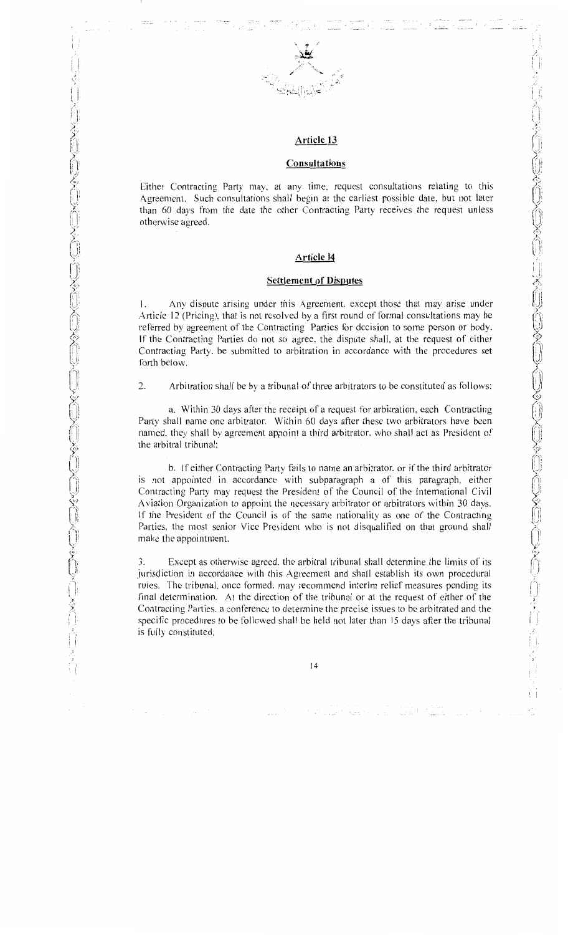

[ J r I

' I ', .... -

'"I  $\mathbf{i}$ 

#### **Article 13**

#### **Consultations**

Either Contracting Party may. at any time. request consultations relating to this Agreement. Such consultations shall begin at the earliest possible date, but not later than 60 days from the date the other Contracting Party receives the request unless otherwise agreed.

# **Article 14**

#### **Settlement of Disputes**

I. Any dispute arising under this Agreement. except those that may arise under Article  $12$  (Pricing), that is not resolved by a first round of formal consultations may be referred by agreement of the Contracting Parties for decision to some person or body. If the Contracting Parties do not so agree, the dispute shall, at the request of either Contracting Party. be submitted to arbitration in accordance with the procedures set forth below.

2. Arbitration shall be by a tribunal of three arbitrators to be constituted as follows:

a. Within 30 days after the receipt of a request for arbitration, each Contracting Party shall name one arbitrator. Within 60 days after these two arbitrators have been named, they shall by agreement appoint a third arbitrator, who shall act as President of the arbitral tribunal:

b. If either Contracting Party fails to name an arbitrator, or if the third arbitrator is not appointed in accordance with subparagraph a of this paragraph, either Contracting Pariy may request the President of the Council of the International Civil Aviation Organization to appoint the necessary arbitrator or arbitrators within 30 days. If the President of the Council is of the same nationality as one of the Contracting Parties. the most senior Vice President who is not disqualified on that ground shall make the appointment.

3. Except as otherwise agreed. the arbitral tribunal shall determine the limits of its jurisdiction in accordance with this Agreement and shall establish its own procedural rules. The tribunal, once formed. may recommend interim relief measures pending its final determination. At the direction of the tribunal or at the request of either of the Contracting Parties. a conference to determine the precise issues to be arbitrated and the specific procedures to be followed shall be held not later than 15 days after the tribunal is fully constituted.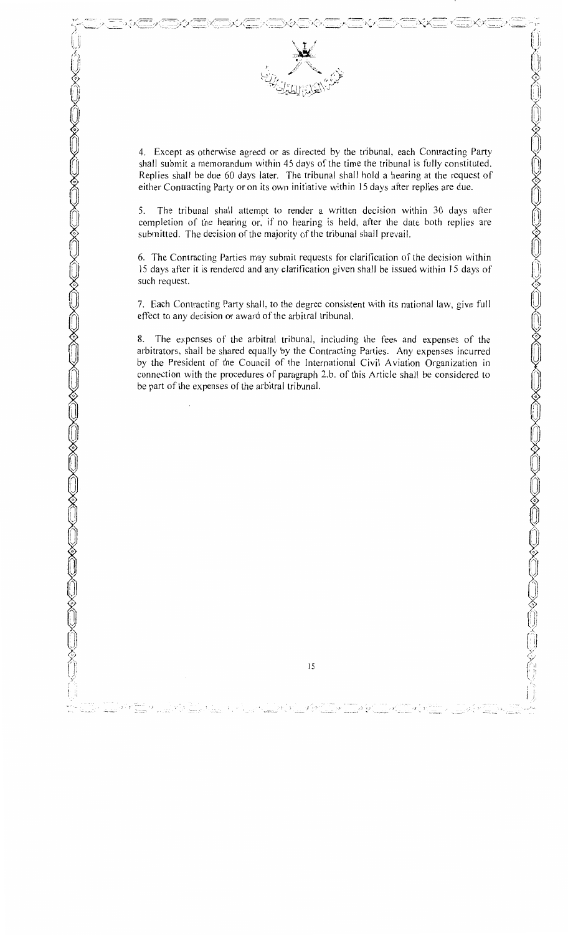

4. Except as otherwise agreed or as directed by the tribunal, each Contracting Party shall submit a memorandum within 45 days of the time the tribunal is fully constituted. Replies shall be due 60 days later. The tribunal shall hold a hearing at the request of either Contracting Party or on its own initiative within 15 days after replies are due.

5. The tribunal shall attempt to render a written decision within 30 days after completion of the hearing or, if no hearing is held, after the date both replies are submitted. The decision of the majority of the tribunal shall prevail.

6. The Contracting Parties may submit requests for clarification of the decision within 15 days after it is rendered and any clarification given shall be issued within 15 days of such request.

7. Each Contracting Party shall, to the degree consistent with its national law, give full effect to any decision or award of the arbitral tribunal.

8. The expenses of the arbitral tribunal, including the fees and expenses of the arbitrators, shall be shared equally by the Contracting Parties. Any expenses incurred by the President of the Council of the International Civil Aviation Organization in connection with the procedures of paragraph 2.b. of this Article shall be considered to be part of the expenses of the arbitral tribunal.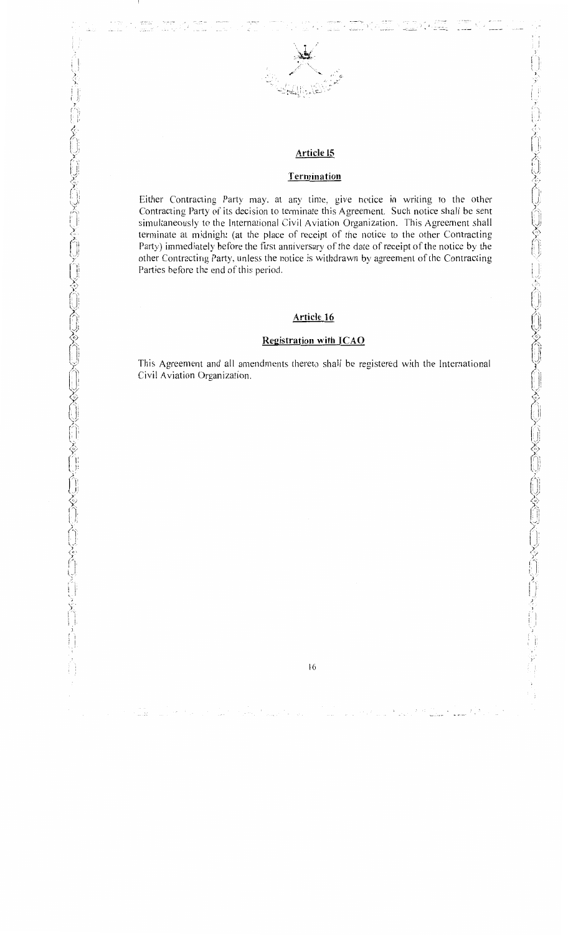

## Termination

Either Contracting Party may, at any time, give notice in writing to the other Contracting Party of its decision to terminate this Agreement. Such notice shall be sent simultaneously to the International Civil Aviation Organization. This Agreement shall terminate at midnight (at the place of receipt of the notice to the other Contracting Party) immediately before the first anniversary of the date of receipt of the notice by the other Contracting Party, unless the notice is withdrawn by agreement of the Contracting Parties before the end of this period.

## Article 16

### **Registration with ICAO**

ふいふしょうという しょうしょうしょくしょう こうしょうくう うりょう

**RACTORS** 

 $\frac{1}{2}$ 

This Agreement and all amendments thereto shall be registered with the International Civil Aviation Organization.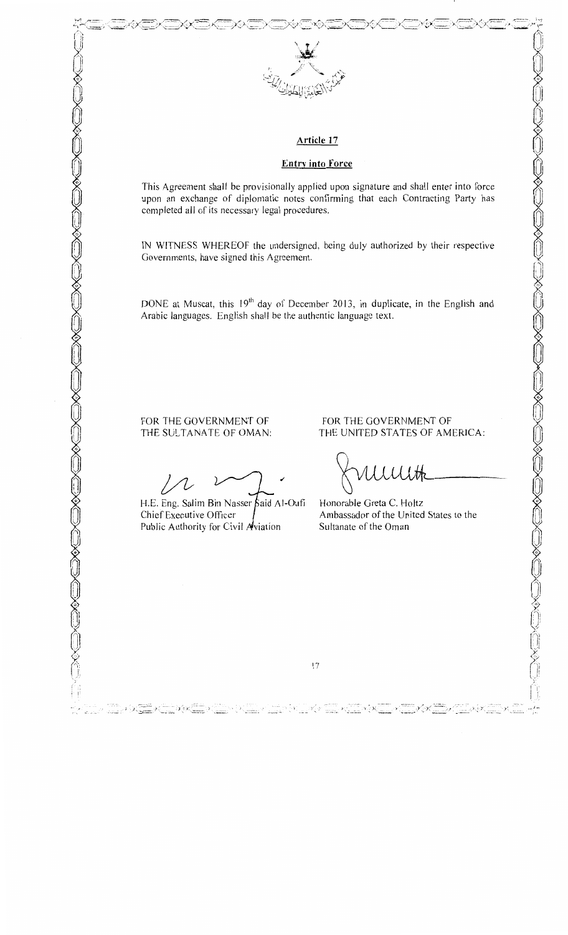

## **Entry into Force**

This Agreement shall be provisionally applied upon signature and shall enter into force upon an exchange of diplomatic notes confirming that each Contracting Party has completed all of its necessary legal procedures.

IN WITNESS WHEREOF the undersigned, being duly authorized by their respective Governments, have signed this Agreement.

DONE at Muscat, this 19<sup>th</sup> day of December 2013, in duplicate, in the English and Arabic languages. English shall be the authentic language text.

### FOR THE GOVERNMENT OF THE SULTANATE OF OMAN:

H.E. Eng. Salim Bin Nasser Said Al-Oufi Chief Executive Officer Public Authority for Civil Aviation

), *\_\_\_\_ ·)*  ~- -~·-

NOXOXOXOXOXOXO

#### FOR THE GOVERNMENT OF THE UNITED STATES OF AMERICA:

' ~, A )o -> ""·)::

... -~-- --·--- ' ·-- ---~ ·~ -- *<sup>y</sup>*,\_

 $\cdots$ 

Honorable Greta C. Holtz Ambassador of the United States to the Sultanate of the Oman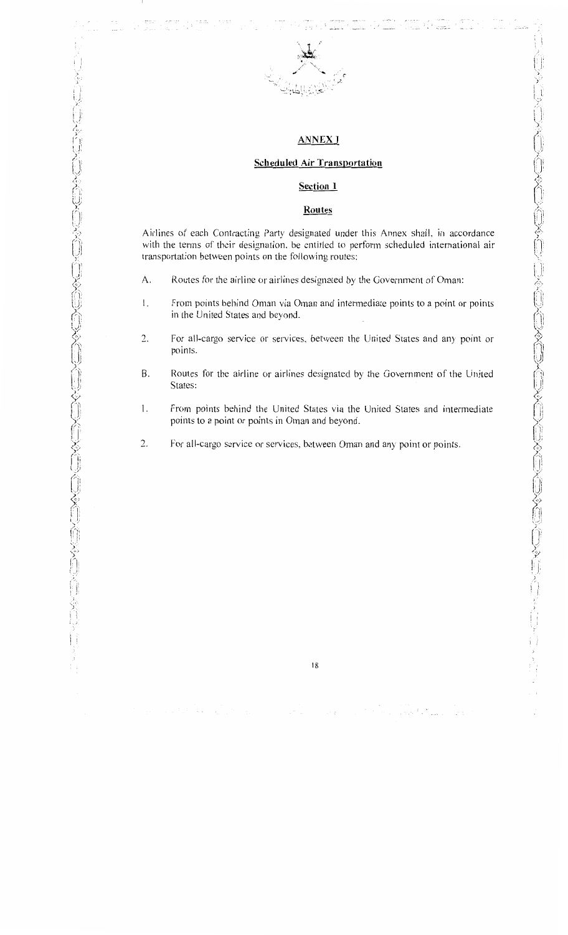

## **ANNEX I**

## **Scheduled Air Transportation**

## **Section 1**

## **Routes**

Airlines of each Contracting Party designated under this Annex shall. in accordance with the terms of their designation, be entitled to perform scheduled international air transportation between points on the following routes:

A. Routes for the airline or airlines designated by the Government of Oman:

しょうしょうしょう

**ByCONNY** 

**ANDER** 

しゅどけ

28个以下的人的人的人的人的人

- I. From points behind Oman via Oman and intermediate points to a point or points in the United States and beyond.
- *2.* For all-cargo service or services, between the United States and any point or points.
- B. Routes for the airline or airlines designated by the Government of the United States:
- I. From points behind the United States via the United States and intermediate points to a point or points in Oman and beyond.

18

2. For all-cargo service or services, between Oman and any point or points.

I

~.·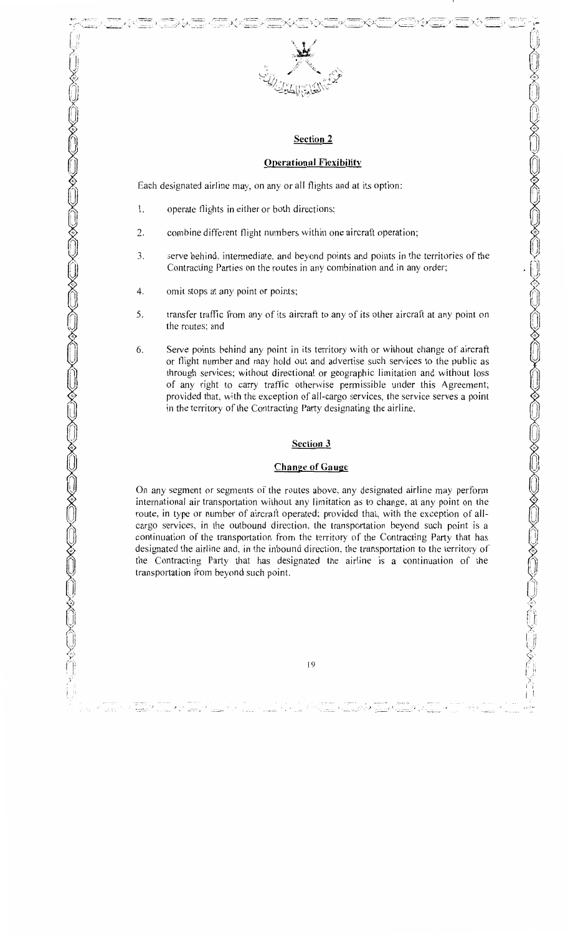

## **Section 2**

## **Operational Flexibility**

Each designated airline may, on any or all flights and at its option:

- 1. operate flights in either or both directions;
- 2. combine different flight numbers within one aircraft operation;
- 3. serve behind, intermediate, and beyond points and points in the territories of the Contracting Parties on the routes in any combination and in any order;
- 4. omit stops at any point or points;

[  $\cup$  .

- 5. transfer traffic from any of its aircraft to any of its other aircraft at any point on the routes; and
- 6. Serve points behind any point in its territory with or without change of aircraft or flight number and may hold out and advertise such services to the public as through services; without directional or geographic limitation and without loss of any right to carry traffic otherwise permissible under this Agreement; provided that, with the exception of all-cargo services, the service serves a point in the territory of the Contracting Party designating the airline.

**Mover** 

#### **Section 3**

#### **Change of Gauge**

On any segment or segments of the routes above, any designated airline may perform international air transportation without any limitation as to change, at any point on the route, in type or number of aircraft operated; provided that, with the exception of allcargo services, in the outbound direction, the transportation beyond such point is a continuation of the transportation from the territory of the Contracting Party that has designated the airline and, in the inbound direction, the transportation to the territory of the Contracting Party that has designated the airline is a continuation of the transportation from beyond such point.



 $\sim$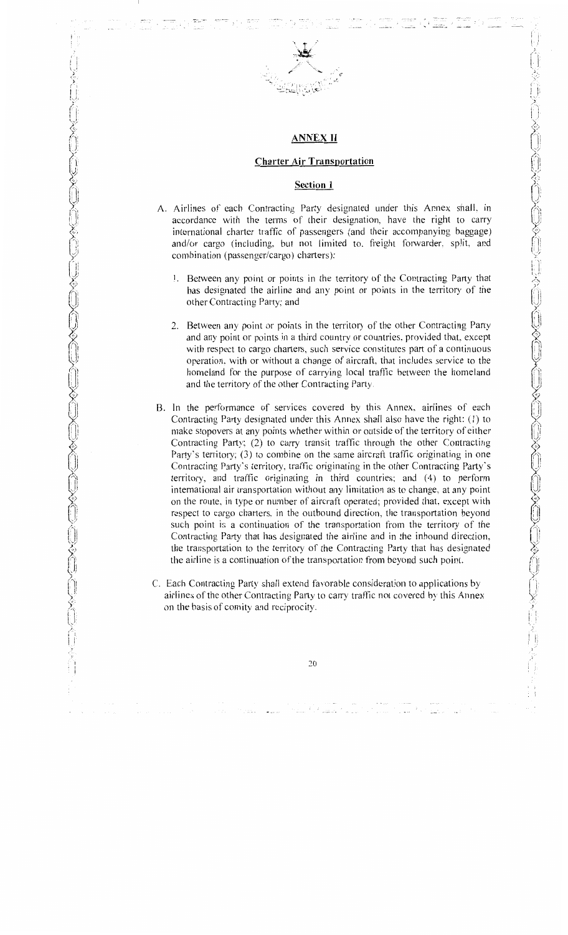

I I  $\mathsf{L}$ 

#### **ANNEX II**

#### **Charter Air Transportation**

## **Section 1**

- A. Airlines of each Contracting Party designated under this Annex shall, in accordance with the terms of their designation, have the right to carry international charter traffic of passengers (and their accompanying baggage) and/or cargo (including, but not limited to. freight forwarder, split, and combination (passenger/cargo) charters):
	- 1. Between any point or points in the territory of the Contracting Party that has designated the airline and any point or points in the territory of the other Contracting Party; and

 $\tilde{\mathbb{A}}$  .  $\mathbb{U}$ 

*)*  I i

 $\parallel$   $\parallel$ 

- 2. Between any point or points in the territory of the other Contracting Party and any point or points in a third country or countries, provided that, except with respect to cargo charters, such service constitutes part of a continuous operation. with or without a change of aircraft, that includes service to the homeland for the purpose of carrying local traffic between the homeland and the territory of the other Contracting Party.
- B. In the performance of services covered by this Annex, airlines of each Contracting Party designated under this Annex shall also have the right: ( 1) to make stopovers at any points whether within or outside of the territory of either Contracting Party; (2) to carry transit traffic through the other Contracting Party's territory; (3) to combine on the same aircraft traffic originating in one Contracting Patty's territory, traffic originating in the other Contracting Party's territory, and traffic originating in third countries; and (4) to perform international air transportation without any limitation as to change, at any point on the route, in type or number of aircraft operated; provided that, except with respect to cargo charters. in the outbound direction, the transportation beyond such point is a continuation of the transportation from the territory of the Contracting Patty that has designated the airline and in the inbound direction, the transportation to the territory of the Contracting Party that has designated the airline is a continuation of the transportation from beyond such point.
- C. Each Contracting Party shall extend favorable consideration to applications by airlines of the other Contracting Party to carry traffic not covered by this Annex on the basis of comity and reciprocity.